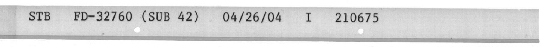